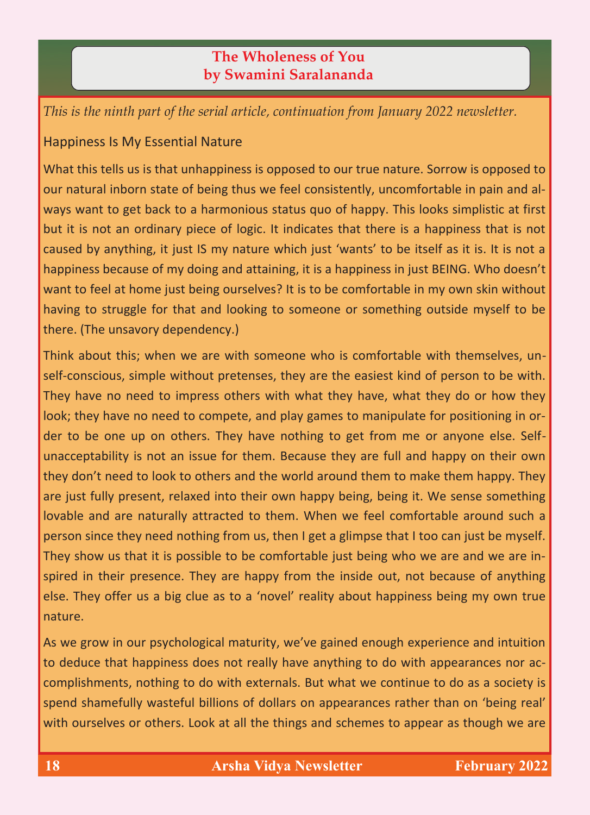## **The Wholeness of You by Swamini Saralananda**

*This is the ninth part of the serial article, continuation from January 2022 newsletter.*

## Happiness Is My Essential Nature

What this tells us is that unhappiness is opposed to our true nature. Sorrow is opposed to our natural inborn state of being thus we feel consistently, uncomfortable in pain and always want to get back to a harmonious status quo of happy. This looks simplistic at first but it is not an ordinary piece of logic. It indicates that there is a happiness that is not caused by anything, it just IS my nature which just 'wants' to be itself as it is. It is not a happiness because of my doing and attaining, it is a happiness in just BEING. Who doesn't want to feel at home just being ourselves? It is to be comfortable in my own skin without having to struggle for that and looking to someone or something outside myself to be there. (The unsavory dependency.)

Think about this; when we are with someone who is comfortable with themselves, unself-conscious, simple without pretenses, they are the easiest kind of person to be with. They have no need to impress others with what they have, what they do or how they look; they have no need to compete, and play games to manipulate for positioning in order to be one up on others. They have nothing to get from me or anyone else. Selfunacceptability is not an issue for them. Because they are full and happy on their own they don't need to look to others and the world around them to make them happy. They are just fully present, relaxed into their own happy being, being it. We sense something lovable and are naturally attracted to them. When we feel comfortable around such a person since they need nothing from us, then I get a glimpse that I too can just be myself. They show us that it is possible to be comfortable just being who we are and we are inspired in their presence. They are happy from the inside out, not because of anything else. They offer us a big clue as to a 'novel' reality about happiness being my own true nature.

As we grow in our psychological maturity, we've gained enough experience and intuition to deduce that happiness does not really have anything to do with appearances nor accomplishments, nothing to do with externals. But what we continue to do as a society is spend shamefully wasteful billions of dollars on appearances rather than on 'being real' with ourselves or others. Look at all the things and schemes to appear as though we are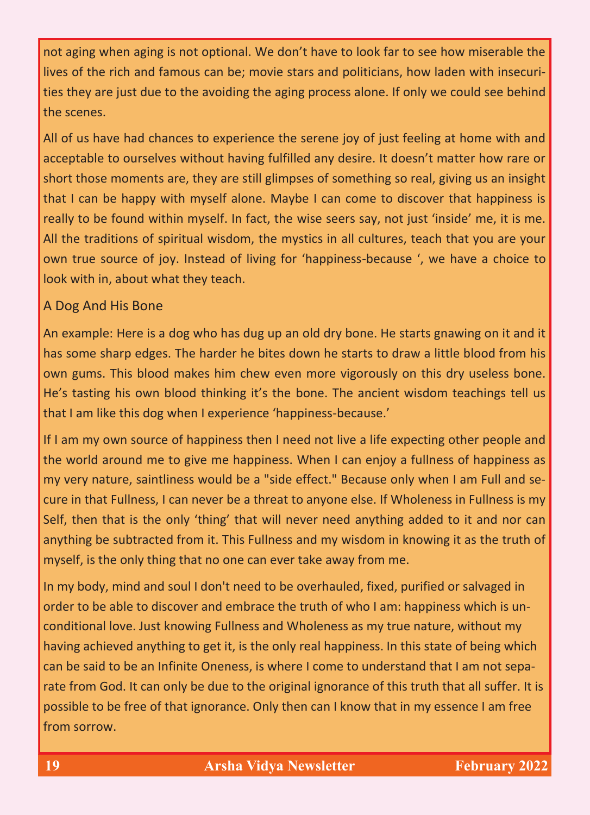not aging when aging is not optional. We don't have to look far to see how miserable the lives of the rich and famous can be; movie stars and politicians, how laden with insecurities they are just due to the avoiding the aging process alone. If only we could see behind the scenes.

All of us have had chances to experience the serene joy of just feeling at home with and acceptable to ourselves without having fulfilled any desire. It doesn't matter how rare or short those moments are, they are still glimpses of something so real, giving us an insight that I can be happy with myself alone. Maybe I can come to discover that happiness is really to be found within myself. In fact, the wise seers say, not just 'inside' me, it is me. All the traditions of spiritual wisdom, the mystics in all cultures, teach that you are your own true source of joy. Instead of living for 'happiness-because ', we have a choice to look with in, about what they teach.

## A Dog And His Bone

An example: Here is a dog who has dug up an old dry bone. He starts gnawing on it and it has some sharp edges. The harder he bites down he starts to draw a little blood from his own gums. This blood makes him chew even more vigorously on this dry useless bone. He's tasting his own blood thinking it's the bone. The ancient wisdom teachings tell us that I am like this dog when I experience 'happiness-because.'

If I am my own source of happiness then I need not live a life expecting other people and the world around me to give me happiness. When I can enjoy a fullness of happiness as my very nature, saintliness would be a "side effect." Because only when I am Full and secure in that Fullness, I can never be a threat to anyone else. If Wholeness in Fullness is my Self, then that is the only 'thing' that will never need anything added to it and nor can anything be subtracted from it. This Fullness and my wisdom in knowing it as the truth of myself, is the only thing that no one can ever take away from me.

In my body, mind and soul I don't need to be overhauled, fixed, purified or salvaged in order to be able to discover and embrace the truth of who I am: happiness which is unconditional love. Just knowing Fullness and Wholeness as my true nature, without my having achieved anything to get it, is the only real happiness. In this state of being which can be said to be an Infinite Oneness, is where I come to understand that I am not separate from God. It can only be due to the original ignorance of this truth that all suffer. It is possible to be free of that ignorance. Only then can I know that in my essence I am free from sorrow.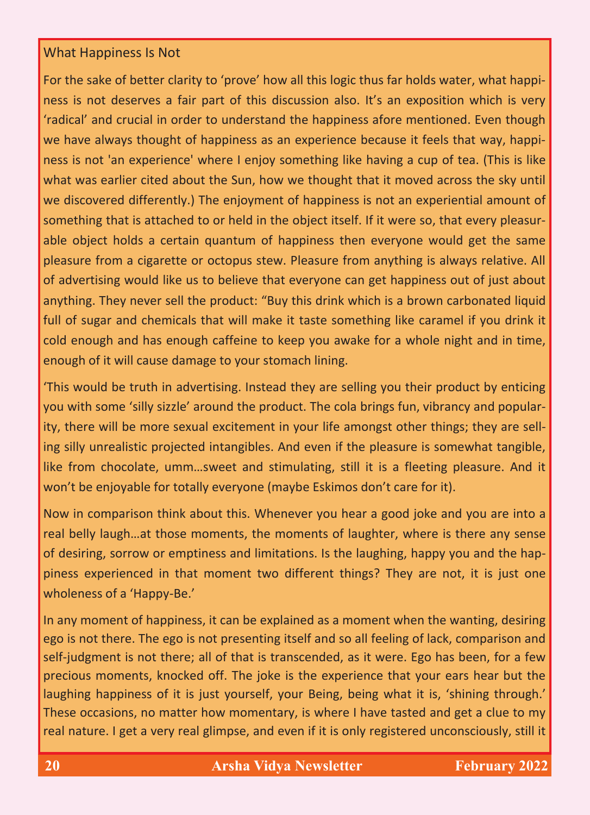## What Happiness Is Not

For the sake of better clarity to 'prove' how all this logic thus far holds water, what happiness is not deserves a fair part of this discussion also. It's an exposition which is very 'radical' and crucial in order to understand the happiness afore mentioned. Even though we have always thought of happiness as an experience because it feels that way, happiness is not 'an experience' where I enjoy something like having a cup of tea. (This is like what was earlier cited about the Sun, how we thought that it moved across the sky until we discovered differently.) The enjoyment of happiness is not an experiential amount of something that is attached to or held in the object itself. If it were so, that every pleasurable object holds a certain quantum of happiness then everyone would get the same pleasure from a cigarette or octopus stew. Pleasure from anything is always relative. All of advertising would like us to believe that everyone can get happiness out of just about anything. They never sell the product: "Buy this drink which is a brown carbonated liquid full of sugar and chemicals that will make it taste something like caramel if you drink it cold enough and has enough caffeine to keep you awake for a whole night and in time, enough of it will cause damage to your stomach lining.

'This would be truth in advertising. Instead they are selling you their product by enticing you with some 'silly sizzle' around the product. The cola brings fun, vibrancy and popularity, there will be more sexual excitement in your life amongst other things; they are selling silly unrealistic projected intangibles. And even if the pleasure is somewhat tangible, like from chocolate, umm…sweet and stimulating, still it is a fleeting pleasure. And it won't be enjoyable for totally everyone (maybe Eskimos don't care for it).

Now in comparison think about this. Whenever you hear a good joke and you are into a real belly laugh…at those moments, the moments of laughter, where is there any sense of desiring, sorrow or emptiness and limitations. Is the laughing, happy you and the happiness experienced in that moment two different things? They are not, it is just one wholeness of a 'Happy-Be.'

In any moment of happiness, it can be explained as a moment when the wanting, desiring ego is not there. The ego is not presenting itself and so all feeling of lack, comparison and self-judgment is not there; all of that is transcended, as it were. Ego has been, for a few precious moments, knocked off. The joke is the experience that your ears hear but the laughing happiness of it is just yourself, your Being, being what it is, 'shining through.' These occasions, no matter how momentary, is where I have tasted and get a clue to my real nature. I get a very real glimpse, and even if it is only registered unconsciously, still it